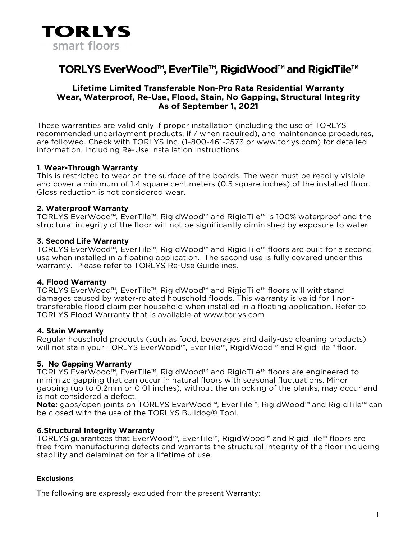

# **TORLYS EverWood™, EverTile™, RigidWood™and RigidTile™**

## **Lifetime Limited Transferable Non-Pro Rata Residential Warranty Wear, Waterproof, Re-Use, Flood, Stain, No Gapping, Structural Integrity As of September 1, 2021**

These warranties are valid only if proper installation (including the use of TORLYS recommended underlayment products, if / when required), and maintenance procedures, are followed. Check with TORLYS Inc. (1-800-461-2573 or www.torlys.com) for detailed information, including Re-Use installation Instructions.

## **1**. **Wear-Through Warranty**

This is restricted to wear on the surface of the boards. The wear must be readily visible and cover a minimum of 1.4 square centimeters (0.5 square inches) of the installed floor. Gloss reduction is not considered wear.

## **2. Waterproof Warranty**

TORLYS EverWood™, EverTile™, RigidWood™ and RigidTile™ is 100% waterproof and the structural integrity of the floor will not be significantly diminished by exposure to water

#### **3. Second Life Warranty**

TORLYS EverWood™, EverTile™, RigidWood™ and RigidTile™ floors are built for a second use when installed in a floating application. The second use is fully covered under this warranty. Please refer to TORLYS Re-Use Guidelines.

#### **4. Flood Warranty**

TORLYS EverWood™, EverTile™, RigidWood™ and RigidTile™ floors will withstand damages caused by water-related household floods. This warranty is valid for 1 nontransferable flood claim per household when installed in a floating application. Refer to TORLYS Flood Warranty that is available at www.torlys.com

#### **4. Stain Warranty**

Regular household products (such as food, beverages and daily-use cleaning products) will not stain your TORLYS EverWood™, EverTile™, RigidWood™ and RigidTile™ floor.

## **5. No Gapping Warranty**

TORLYS EverWood™, EverTile™, RigidWood™ and RigidTile™ floors are engineered to minimize gapping that can occur in natural floors with seasonal fluctuations. Minor gapping (up to 0.2mm or 0.01 inches), without the unlocking of the planks, may occur and is not considered a defect.

**Note:** gaps/open joints on TORLYS EverWood™, EverTile™, RigidWood™ and RigidTile™ can be closed with the use of the TORLYS Bulldog® Tool.

## **6.Structural Integrity Warranty**

TORLYS guarantees that EverWood™, EverTile™, RigidWood™ and RigidTile™ floors are free from manufacturing defects and warrants the structural integrity of the floor including stability and delamination for a lifetime of use.

#### **Exclusions**

The following are expressly excluded from the present Warranty: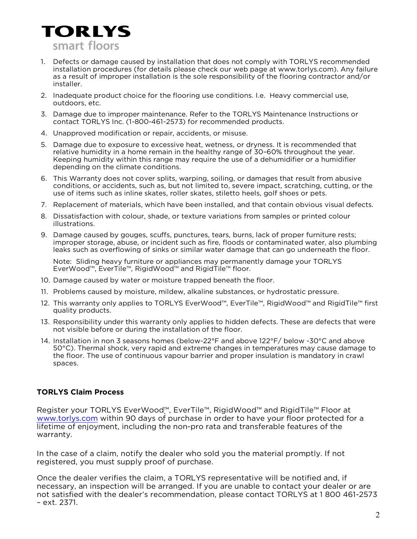

- 1. Defects or damage caused by installation that does not comply with TORLYS recommended installation procedures (for details please check our web page at www.torlys.com). Any failure as a result of improper installation is the sole responsibility of the flooring contractor and/or installer.
- 2. Inadequate product choice for the flooring use conditions. I.e. Heavy commercial use, outdoors, etc.
- 3. Damage due to improper maintenance. Refer to the TORLYS Maintenance Instructions or contact TORLYS Inc. (1-800-461-2573) for recommended products.
- 4. Unapproved modification or repair, accidents, or misuse.
- 5. Damage due to exposure to excessive heat, wetness, or dryness. It is recommended that relative humidity in a home remain in the healthy range of 30–60% throughout the year. Keeping humidity within this range may require the use of a dehumidifier or a humidifier depending on the climate conditions.
- 6. This Warranty does not cover splits, warping, soiling, or damages that result from abusive conditions, or accidents, such as, but not limited to, severe impact, scratching, cutting, or the use of items such as inline skates, roller skates, stiletto heels, golf shoes or pets.
- 7. Replacement of materials, which have been installed, and that contain obvious visual defects.
- 8. Dissatisfaction with colour, shade, or texture variations from samples or printed colour illustrations.
- 9. Damage caused by gouges, scuffs, punctures, tears, burns, lack of proper furniture rests; improper storage, abuse, or incident such as fire, floods or contaminated water, also plumbing leaks such as overflowing of sinks or similar water damage that can go underneath the floor.

Note: Sliding heavy furniture or appliances may permanently damage your TORLYS EverWood™, EverTile™, RigidWood™ and RigidTile™ floor.

- 10. Damage caused by water or moisture trapped beneath the floor.
- 11. Problems caused by moisture, mildew, alkaline substances, or hydrostatic pressure.
- 12. This warranty only applies to TORLYS EverWood™, EverTile™, RigidWood™ and RigidTile™ first quality products.
- 13. Responsibility under this warranty only applies to hidden defects. These are defects that were not visible before or during the installation of the floor.
- 14. Installation in non 3 seasons homes (below-22°F and above 122°F/ below -30°C and above 50°C). Thermal shock, very rapid and extreme changes in temperatures may cause damage to the floor. The use of continuous vapour barrier and proper insulation is mandatory in crawl spaces.

## **TORLYS Claim Process**

Register your TORLYS EverWood™, EverTile™, RigidWood™ and RigidTile™ Floor at [www.torlys.com](http://www.torlys.com/) within 90 days of purchase in order to have your floor protected for a lifetime of enjoyment, including the non-pro rata and transferable features of the warranty.

In the case of a claim, notify the dealer who sold you the material promptly. If not registered, you must supply proof of purchase.

Once the dealer verifies the claim, a TORLYS representative will be notified and, if necessary, an inspection will be arranged. If you are unable to contact your dealer or are not satisfied with the dealer's recommendation, please contact TORLYS at 1 800 461-2573 – ext. 2371.